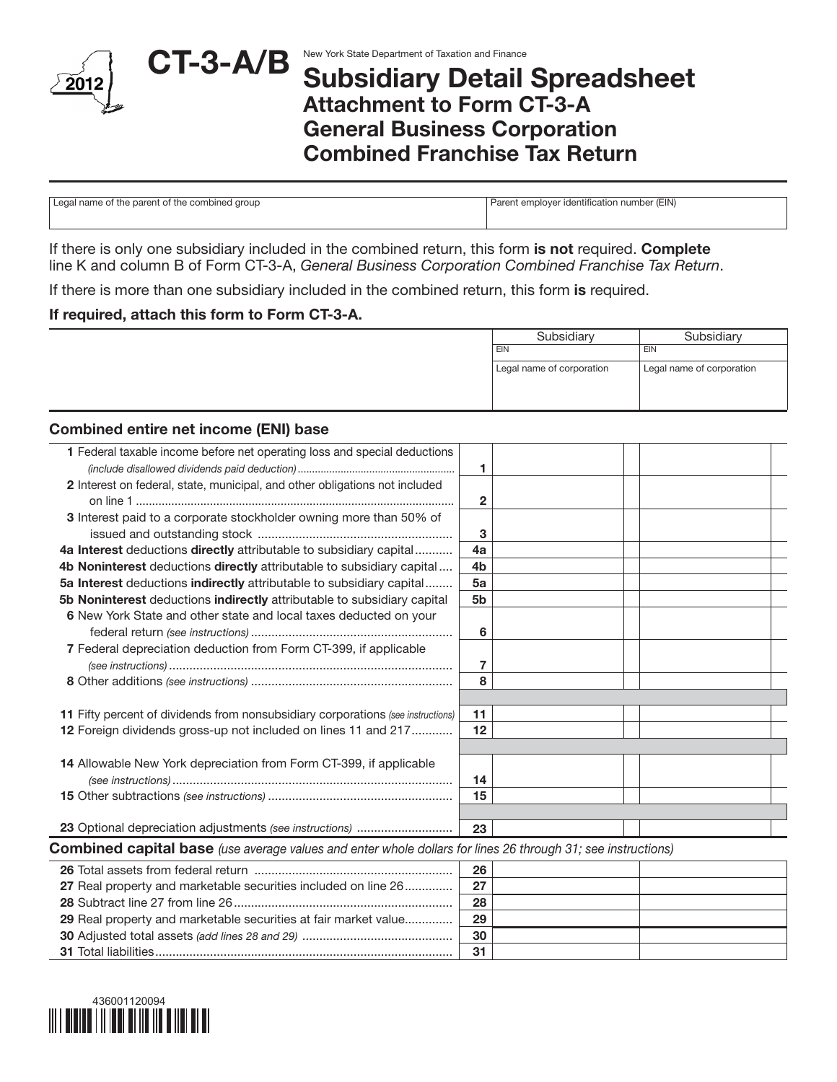

## Subsidiary Detail Spreadsheet Attachment to Form CT-3-A General Business Corporation Combined Franchise Tax Return

| Legal name of the parent of the combined group | Parent employer identification number (EIN) |
|------------------------------------------------|---------------------------------------------|
|                                                |                                             |

If there is only one subsidiary included in the combined return, this form is not required. Complete line K and column B of Form CT-3-A, *General Business Corporation Combined Franchise Tax Return*.

If there is more than one subsidiary included in the combined return, this form is required.

#### If required, attach this form to Form CT-3-A.

| Subsidiary                | Subsidiary                |
|---------------------------|---------------------------|
| EIN                       | EIN                       |
| Legal name of corporation | Legal name of corporation |
|                           |                           |
|                           |                           |
|                           |                           |

#### Combined entire net income (ENI) base

| 1 Federal taxable income before net operating loss and special deductions                                           |                |  |  |
|---------------------------------------------------------------------------------------------------------------------|----------------|--|--|
|                                                                                                                     | 1              |  |  |
| 2 Interest on federal, state, municipal, and other obligations not included                                         |                |  |  |
|                                                                                                                     | $\mathbf{2}$   |  |  |
| 3 Interest paid to a corporate stockholder owning more than 50% of                                                  |                |  |  |
|                                                                                                                     | 3              |  |  |
| 4a Interest deductions directly attributable to subsidiary capital                                                  | 4a             |  |  |
| 4b Noninterest deductions directly attributable to subsidiary capital                                               | 4 <sub>b</sub> |  |  |
| 5a Interest deductions indirectly attributable to subsidiary capital                                                | 5a             |  |  |
| 5b Noninterest deductions indirectly attributable to subsidiary capital                                             | 5b             |  |  |
| 6 New York State and other state and local taxes deducted on your                                                   |                |  |  |
|                                                                                                                     | 6              |  |  |
| 7 Federal depreciation deduction from Form CT-399, if applicable                                                    |                |  |  |
|                                                                                                                     | 7              |  |  |
|                                                                                                                     | 8              |  |  |
|                                                                                                                     |                |  |  |
| 11 Fifty percent of dividends from nonsubsidiary corporations (see instructions)                                    | 11             |  |  |
| 12 Foreign dividends gross-up not included on lines 11 and 217                                                      | 12             |  |  |
|                                                                                                                     |                |  |  |
| 14 Allowable New York depreciation from Form CT-399, if applicable                                                  |                |  |  |
|                                                                                                                     | 14             |  |  |
|                                                                                                                     | 15             |  |  |
|                                                                                                                     |                |  |  |
| 23 Optional depreciation adjustments (see instructions)                                                             | 23             |  |  |
| <b>Combined capital base</b> (use average values and enter whole dollars for lines 26 through 31; see instructions) |                |  |  |
|                                                                                                                     | 26             |  |  |
| 27 Real property and marketable securities included on line 26                                                      | 27             |  |  |
|                                                                                                                     | 28             |  |  |
| 29 Real property and marketable securities at fair market value                                                     | 29             |  |  |
|                                                                                                                     | 30             |  |  |
|                                                                                                                     | 31             |  |  |
|                                                                                                                     |                |  |  |

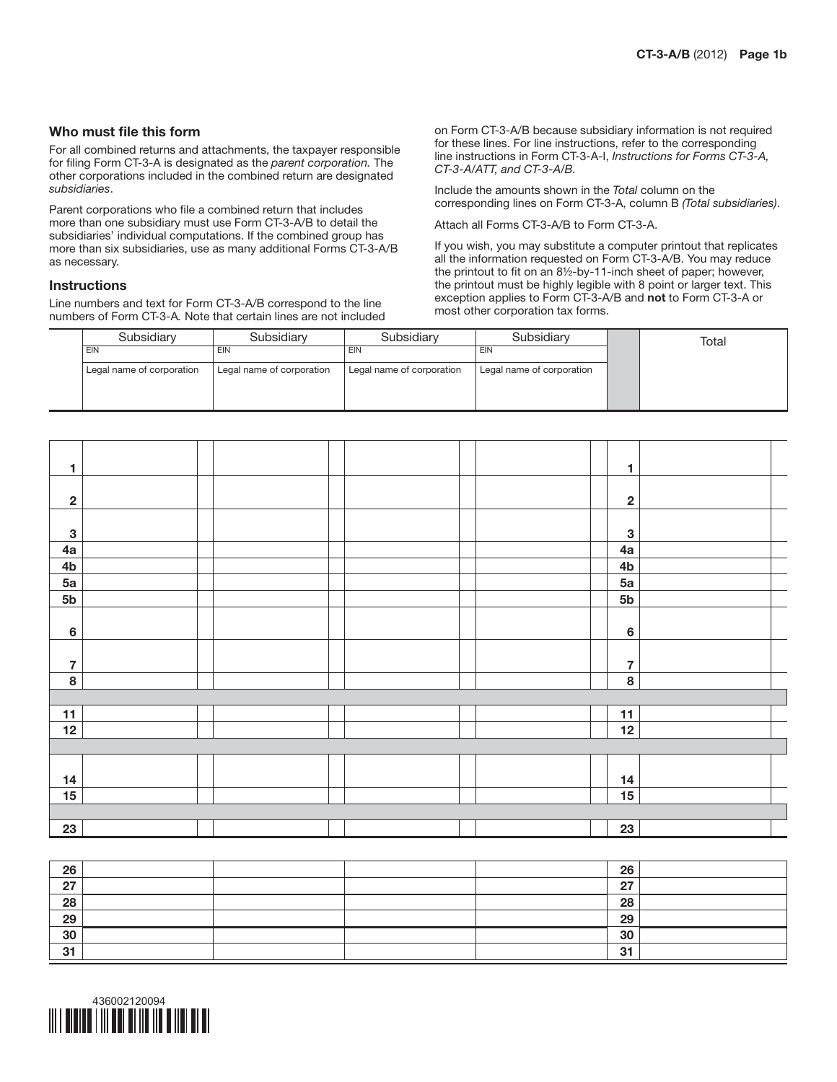#### Who must file this form

For all combined returns and attachments, the taxpayer responsible for filing Form CT-3-A is designated as the *parent corporation.* The other corporations included in the combined return are designated *subsidiaries*.

Parent corporations who file a combined return that includes more than one subsidiary must use Form CT-3-A/B to detail the subsidiaries' individual computations. If the combined group has more than six subsidiaries, use as many additional Forms CT-3-A/B as necessary.

#### **Instructions**

Line numbers and text for Form CT-3-A/B correspond to the line numbers of Form CT-3-A*.* Note that certain lines are not included on Form CT-3-A/B because subsidiary information is not required for these lines. For line instructions, refer to the corresponding line instructions in Form CT-3-A-I, *Instructions for Forms CT-3-A, CT-3-A/ATT, and CT-3-A/B.*

Include the amounts shown in the *Total* column on the corresponding lines on Form CT-3-A, column B *(Total subsidiaries)*.

Attach all Forms CT-3-A/B to Form CT-3-A.

If you wish, you may substitute a computer printout that replicates all the information requested on Form CT-3-A/B. You may reduce the printout to fit on an 8½-by-11-inch sheet of paper; however, the printout must be highly legible with 8 point or larger text. This exception applies to Form CT-3-A/B and not to Form CT-3-A or most other corporation tax forms.

| Subsidiary                | Subsidiarv                | Subsidiary                | Subsidiary                | Total |
|---------------------------|---------------------------|---------------------------|---------------------------|-------|
| EIN                       | EIN                       | EIN                       | <b>EIN</b>                |       |
| Legal name of corporation | Legal name of corporation | Legal name of corporation | Legal name of corporation |       |
|                           |                           |                           |                           |       |
|                           |                           |                           |                           |       |

| 1                       |  |  |  |                | 1                       |
|-------------------------|--|--|--|----------------|-------------------------|
|                         |  |  |  |                |                         |
| $\boldsymbol{2}$        |  |  |  |                | $\mathbf{2}$            |
|                         |  |  |  |                |                         |
| $\mathbf 3$             |  |  |  |                | $\mathbf{3}$            |
| 4a                      |  |  |  | 4a             |                         |
| 4 <sub>b</sub>          |  |  |  | 4 <sub>b</sub> |                         |
| 5a                      |  |  |  | 5a             |                         |
| 5 <sub>b</sub>          |  |  |  | 5 <sub>b</sub> |                         |
|                         |  |  |  |                |                         |
| $\bf 6$                 |  |  |  |                | $\bf 6$                 |
|                         |  |  |  |                |                         |
| $\overline{\mathbf{7}}$ |  |  |  |                | $\overline{\mathbf{r}}$ |
| $\overline{\mathbf{8}}$ |  |  |  |                | 8                       |
|                         |  |  |  |                |                         |
| 11                      |  |  |  | 11             |                         |
| 12                      |  |  |  | 12             |                         |
|                         |  |  |  |                |                         |
|                         |  |  |  |                |                         |
| 14                      |  |  |  | 14             |                         |
| 15                      |  |  |  | 15             |                         |
|                         |  |  |  |                |                         |
| 23                      |  |  |  | 23             |                         |
|                         |  |  |  |                |                         |

| 26        |  | 26 |  |
|-----------|--|----|--|
| - 27<br>" |  | 07 |  |
| 28        |  | 28 |  |
| 29        |  | 29 |  |
| 30        |  | 30 |  |
| 31        |  | 31 |  |

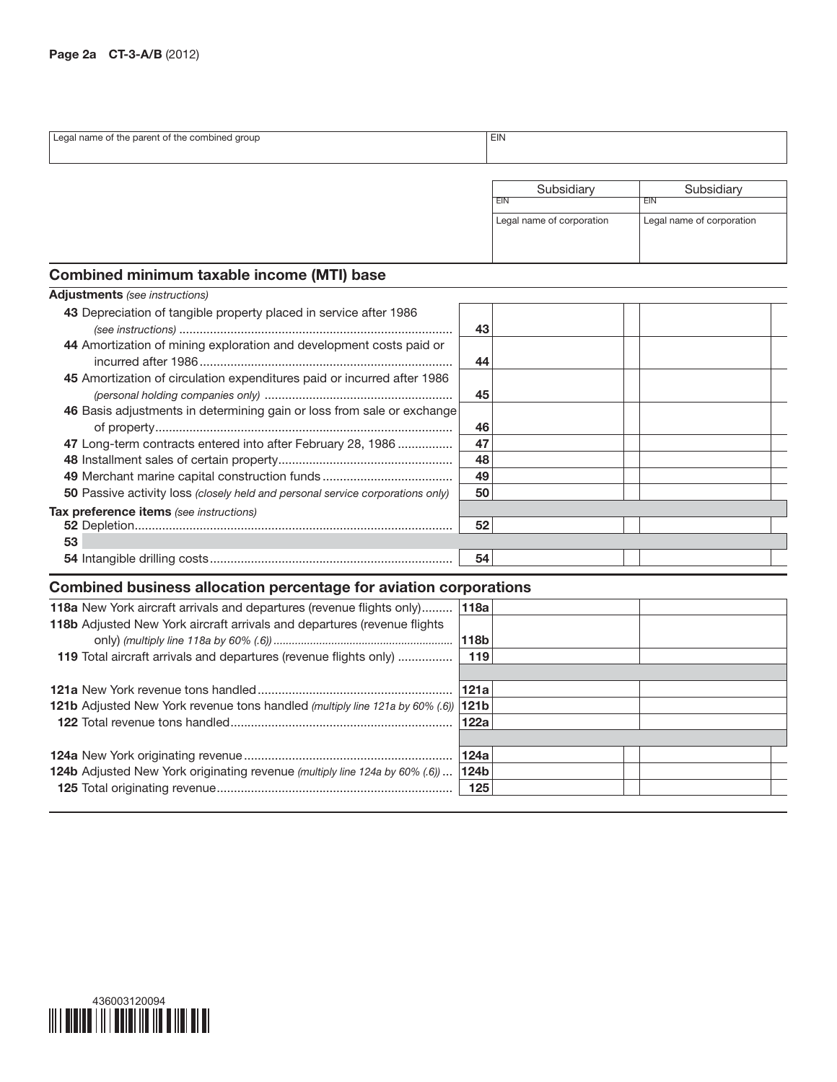| Legal name of the parent of the combined group                          |    | <b>EIN</b>                |                           |  |  |
|-------------------------------------------------------------------------|----|---------------------------|---------------------------|--|--|
|                                                                         |    |                           |                           |  |  |
|                                                                         |    | Subsidiary                | Subsidiary                |  |  |
|                                                                         |    | <b>EIN</b>                | <b>EIN</b>                |  |  |
|                                                                         |    | Legal name of corporation | Legal name of corporation |  |  |
|                                                                         |    |                           |                           |  |  |
|                                                                         |    |                           |                           |  |  |
| <b>Combined minimum taxable income (MTI) base</b>                       |    |                           |                           |  |  |
| <b>Adjustments</b> (see instructions)                                   |    |                           |                           |  |  |
| 43 Depreciation of tangible property placed in service after 1986       |    |                           |                           |  |  |
|                                                                         | 43 |                           |                           |  |  |
| 44 Amortization of mining exploration and development costs paid or     |    |                           |                           |  |  |
|                                                                         | 44 |                           |                           |  |  |
| 45 Amortization of circulation expenditures paid or incurred after 1986 |    |                           |                           |  |  |
|                                                                         | 45 |                           |                           |  |  |

| 46 Basis adjustments in determining gain or loss from sale or exchange         | 46 |  |  |
|--------------------------------------------------------------------------------|----|--|--|
| 47 Long-term contracts entered into after February 28, 1986                    | 47 |  |  |
|                                                                                | 48 |  |  |
|                                                                                | 49 |  |  |
| 50 Passive activity loss (closely held and personal service corporations only) | 50 |  |  |
| Tax preference items (see instructions)                                        |    |  |  |
|                                                                                | 52 |  |  |
| 53                                                                             |    |  |  |
|                                                                                | 54 |  |  |

## Combined business allocation percentage for aviation corporations

| 118a New York aircraft arrivals and departures (revenue flights only)                    | 118a             |  |
|------------------------------------------------------------------------------------------|------------------|--|
| 118b Adjusted New York aircraft arrivals and departures (revenue flights                 |                  |  |
|                                                                                          | 118b             |  |
| 119 Total aircraft arrivals and departures (revenue flights only)                        | 119              |  |
|                                                                                          |                  |  |
|                                                                                          | 121a             |  |
| 121b Adjusted New York revenue tons handled (multiply line 121a by 60% (.6)) 121b        |                  |  |
|                                                                                          | 122a             |  |
|                                                                                          |                  |  |
|                                                                                          | 124a             |  |
| <b>124b</b> Adjusted New York originating revenue <i>(multiply line 124a by 60% (.6)</i> | 124 <sub>b</sub> |  |
|                                                                                          | 125              |  |
|                                                                                          |                  |  |

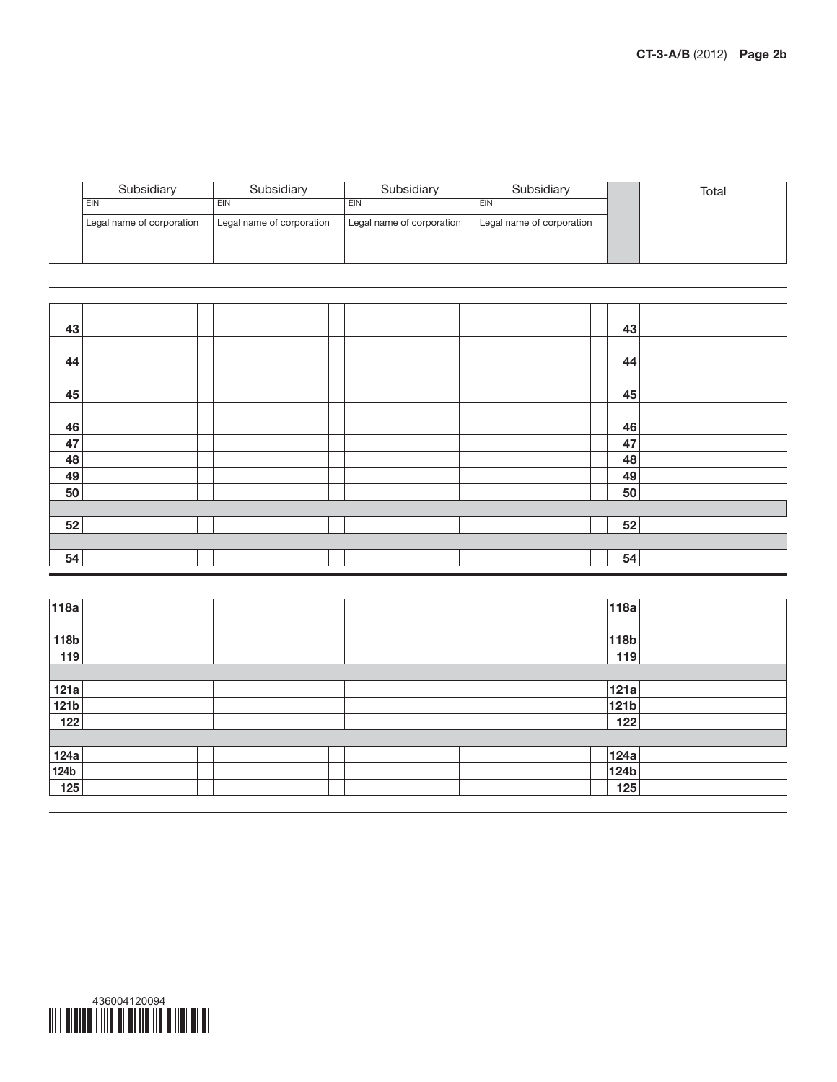| Subsidiary                | Subsidiary                | Subsidiary                | Subsidiary                | Total |
|---------------------------|---------------------------|---------------------------|---------------------------|-------|
| <b>EIN</b>                | EIN                       | EIN                       | EIN                       |       |
| Legal name of corporation | Legal name of corporation | Legal name of corporation | Legal name of corporation |       |
|                           |                           |                           |                           |       |
|                           |                           |                           |                           |       |

| 43 |  |  |  | 43 |  |
|----|--|--|--|----|--|
| 44 |  |  |  | 44 |  |
| 45 |  |  |  | 45 |  |
| 46 |  |  |  | 46 |  |
| 47 |  |  |  | 47 |  |
| 48 |  |  |  | 48 |  |
| 49 |  |  |  | 49 |  |
| 50 |  |  |  | 50 |  |
|    |  |  |  |    |  |
| 52 |  |  |  | 52 |  |
|    |  |  |  |    |  |
| 54 |  |  |  | 54 |  |

| 118a             |  | 118a  |  |
|------------------|--|-------|--|
|                  |  |       |  |
| 118b             |  | 118b  |  |
| 119              |  | 119   |  |
|                  |  |       |  |
| 121a             |  | 121a  |  |
| 121 <sub>b</sub> |  | 121b  |  |
| 122              |  | $122$ |  |
|                  |  |       |  |
| 124a             |  | 124a  |  |
| <b>124b</b>      |  | 124b  |  |
| 125              |  | $125$ |  |



L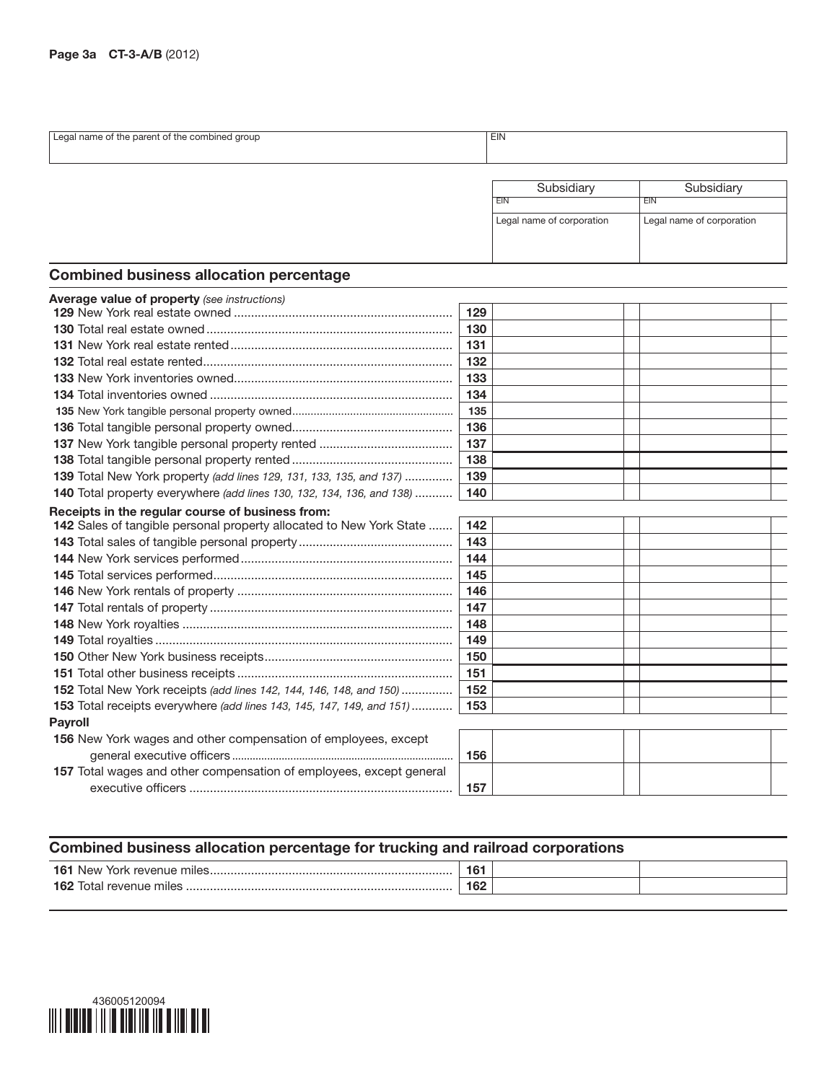| aroup<br>AA<br>the comi<br>narc<br>…ame n<br>דר<br>no | $-1$<br>$-11$ |
|-------------------------------------------------------|---------------|
| . .                                                   | --            |
|                                                       |               |
|                                                       |               |
|                                                       |               |

| Subsidiary                | Subsidiary                |  |  |
|---------------------------|---------------------------|--|--|
| FIN                       | FIN                       |  |  |
| Legal name of corporation | Legal name of corporation |  |  |

## Combined business allocation percentage

| <b>Average value of property</b> (see instructions)                          |     |
|------------------------------------------------------------------------------|-----|
|                                                                              | 129 |
|                                                                              | 130 |
|                                                                              | 131 |
|                                                                              | 132 |
|                                                                              | 133 |
|                                                                              | 134 |
|                                                                              | 135 |
|                                                                              | 136 |
|                                                                              | 137 |
|                                                                              | 138 |
| <b>139</b> Total New York property (add lines 129, 131, 133, 135, and 137)   | 139 |
| 140 Total property everywhere (add lines 130, 132, 134, 136, and 138)        | 140 |
| Receipts in the regular course of business from:                             |     |
| 142 Sales of tangible personal property allocated to New York State          | 142 |
|                                                                              | 143 |
|                                                                              | 144 |
|                                                                              | 145 |
|                                                                              | 146 |
|                                                                              | 147 |
|                                                                              | 148 |
|                                                                              | 149 |
|                                                                              | 150 |
|                                                                              | 151 |
| <b>152</b> Total New York receipts (add lines 142, 144, 146, 148, and 150)   | 152 |
| <b>153</b> Total receipts everywhere (add lines 143, 145, 147, 149, and 151) | 153 |
| Payroll                                                                      |     |
| 156 New York wages and other compensation of employees, except               |     |
|                                                                              | 156 |
| 157 Total wages and other compensation of employees, except general          |     |
|                                                                              | 157 |

## Combined business allocation percentage for trucking and railroad corporations

| $16^{\circ}$<br><b>N</b> AM<br>1116 | $\overline{\phantom{a}}$<br>16 |  |
|-------------------------------------|--------------------------------|--|
| 162<br>nıle<br>$\Box$               | 162                            |  |
|                                     |                                |  |

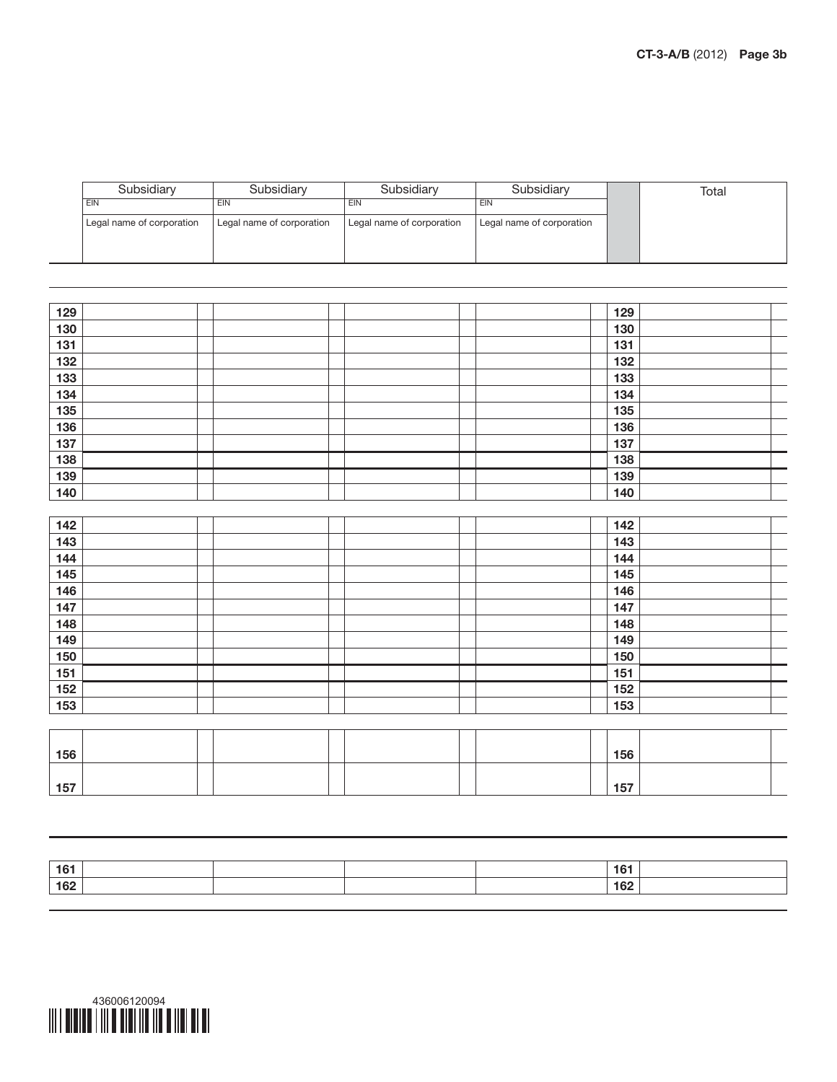| Subsidiary                | Subsidiary                | Subsidiary                | Subsidiary                | Total |
|---------------------------|---------------------------|---------------------------|---------------------------|-------|
| <b>EIN</b>                | EIN                       | EIN                       | EIN                       |       |
| Legal name of corporation | Legal name of corporation | Legal name of corporation | Legal name of corporation |       |
|                           |                           |                           |                           |       |
|                           |                           |                           |                           |       |

| 129 |  |  | 129 |
|-----|--|--|-----|
| 130 |  |  | 130 |
| 131 |  |  | 131 |
| 132 |  |  | 132 |
| 133 |  |  | 133 |
| 134 |  |  | 134 |
| 135 |  |  | 135 |
| 136 |  |  | 136 |
| 137 |  |  | 137 |
| 138 |  |  | 138 |
| 139 |  |  | 139 |
| 140 |  |  | 140 |
|     |  |  |     |
| 142 |  |  | 142 |
| 143 |  |  | 143 |
| 144 |  |  | 144 |
| 145 |  |  | 145 |
| 146 |  |  | 146 |
| 147 |  |  | 147 |
| 148 |  |  | 148 |
| 149 |  |  | 149 |
| 150 |  |  | 150 |
| 151 |  |  | 151 |
| 152 |  |  | 152 |
| 153 |  |  | 153 |
|     |  |  |     |
|     |  |  |     |
| 156 |  |  | 156 |
|     |  |  |     |
| 157 |  |  | 157 |

| 161 |  |  | 161 |  |
|-----|--|--|-----|--|
| 162 |  |  | 162 |  |
|     |  |  |     |  |

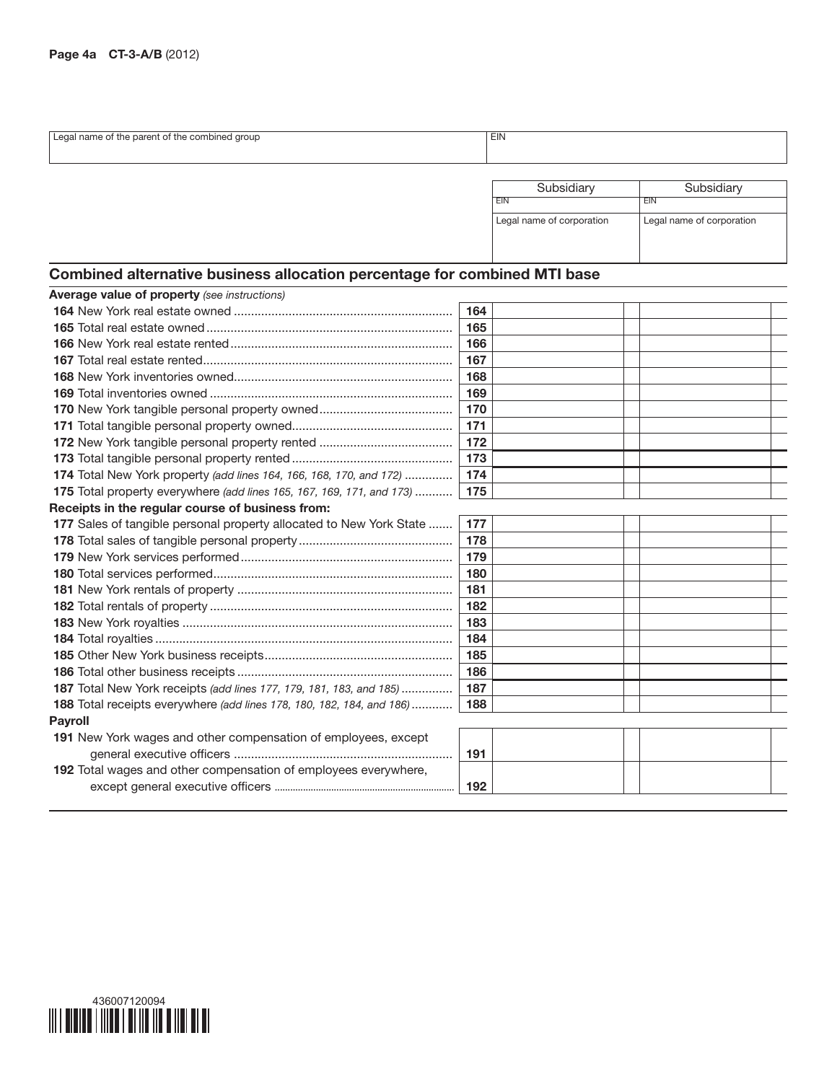| eg:<br>the narent                     | <b>FIL</b> |
|---------------------------------------|------------|
| group<br>the combined :<br>∩ame<br>DТ | <b>LUV</b> |
|                                       |            |
|                                       |            |

| Subsidiary                | Subsidiary                |  |  |
|---------------------------|---------------------------|--|--|
|                           | <b>EIN</b>                |  |  |
| Legal name of corporation | Legal name of corporation |  |  |

# Combined alternative business allocation percentage for combined MTI base

| <b>Average value of property (see instructions)</b>                          |     |
|------------------------------------------------------------------------------|-----|
|                                                                              | 164 |
|                                                                              | 165 |
|                                                                              | 166 |
|                                                                              | 167 |
|                                                                              | 168 |
|                                                                              | 169 |
|                                                                              | 170 |
|                                                                              | 171 |
|                                                                              | 172 |
|                                                                              | 173 |
| <b>174</b> Total New York property (add lines 164, 166, 168, 170, and 172)   | 174 |
| 175 Total property everywhere (add lines 165, 167, 169, 171, and 173)        | 175 |
| Receipts in the regular course of business from:                             |     |
| 177 Sales of tangible personal property allocated to New York State          | 177 |
|                                                                              | 178 |
|                                                                              | 179 |
|                                                                              | 180 |
|                                                                              | 181 |
|                                                                              | 182 |
|                                                                              | 183 |
|                                                                              | 184 |
|                                                                              | 185 |
|                                                                              | 186 |
| <b>187</b> Total New York receipts (add lines 177, 179, 181, 183, and 185)   | 187 |
| <b>188</b> Total receipts everywhere (add lines 178, 180, 182, 184, and 186) | 188 |
| <b>Payroll</b>                                                               |     |
| 191 New York wages and other compensation of employees, except               |     |
|                                                                              | 191 |
| 192 Total wages and other compensation of employees everywhere,              |     |
|                                                                              | 192 |
|                                                                              |     |

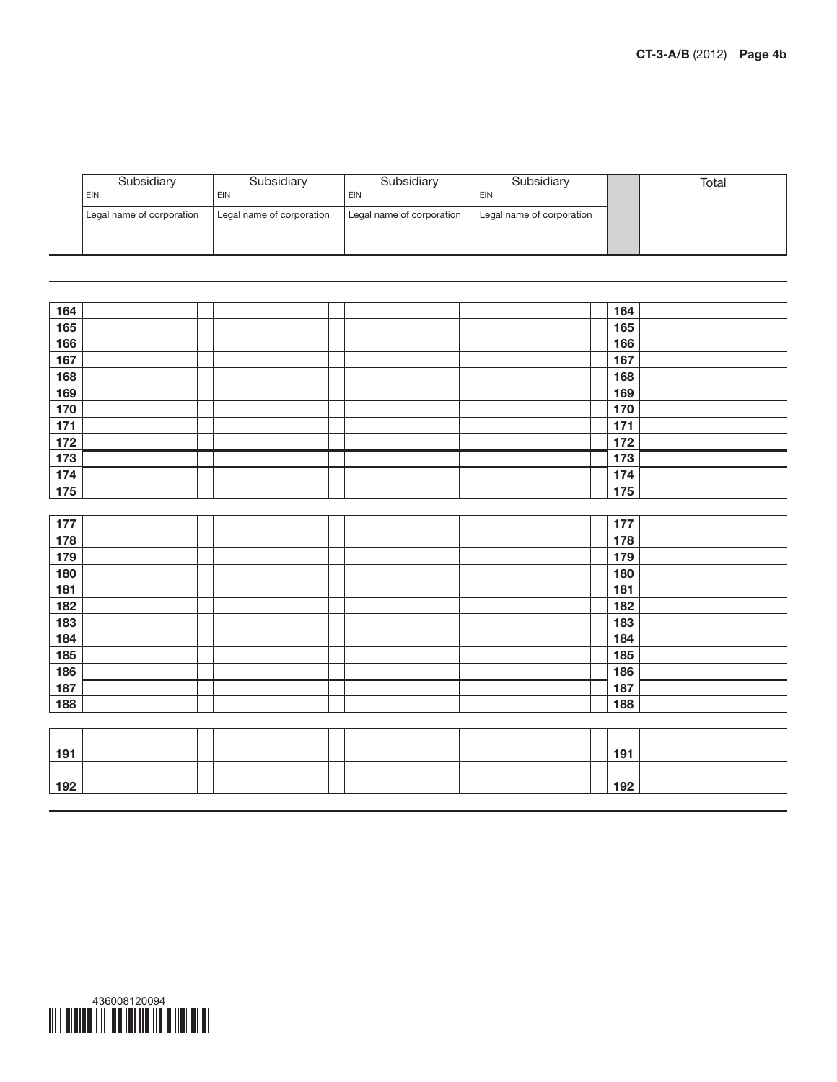| Subsidiary                | Subsidiarv                | Subsidiary                | Subsidiarv                | Total |
|---------------------------|---------------------------|---------------------------|---------------------------|-------|
| EIN                       | EIN                       | EIN                       | EIN                       |       |
| Legal name of corporation | Legal name of corporation | Legal name of corporation | Legal name of corporation |       |
|                           |                           |                           |                           |       |
|                           |                           |                           |                           |       |

| 164 |  |  | 164 |
|-----|--|--|-----|
| 165 |  |  | 165 |
| 166 |  |  | 166 |
| 167 |  |  | 167 |
| 168 |  |  | 168 |
| 169 |  |  | 169 |
| 170 |  |  | 170 |
| 171 |  |  | 171 |
| 172 |  |  | 172 |
| 173 |  |  | 173 |
| 174 |  |  | 174 |
| 175 |  |  | 175 |
|     |  |  |     |
| 177 |  |  | 177 |
| 178 |  |  | 178 |
| 179 |  |  | 179 |
| 180 |  |  | 180 |
| 181 |  |  | 181 |
| 182 |  |  | 182 |
| 183 |  |  | 183 |
| 184 |  |  | 184 |
| 185 |  |  | 185 |
| 186 |  |  | 186 |
| 187 |  |  | 187 |
| 188 |  |  | 188 |
|     |  |  |     |
|     |  |  |     |
| 191 |  |  | 191 |
|     |  |  |     |
| 192 |  |  | 192 |



 $\equiv$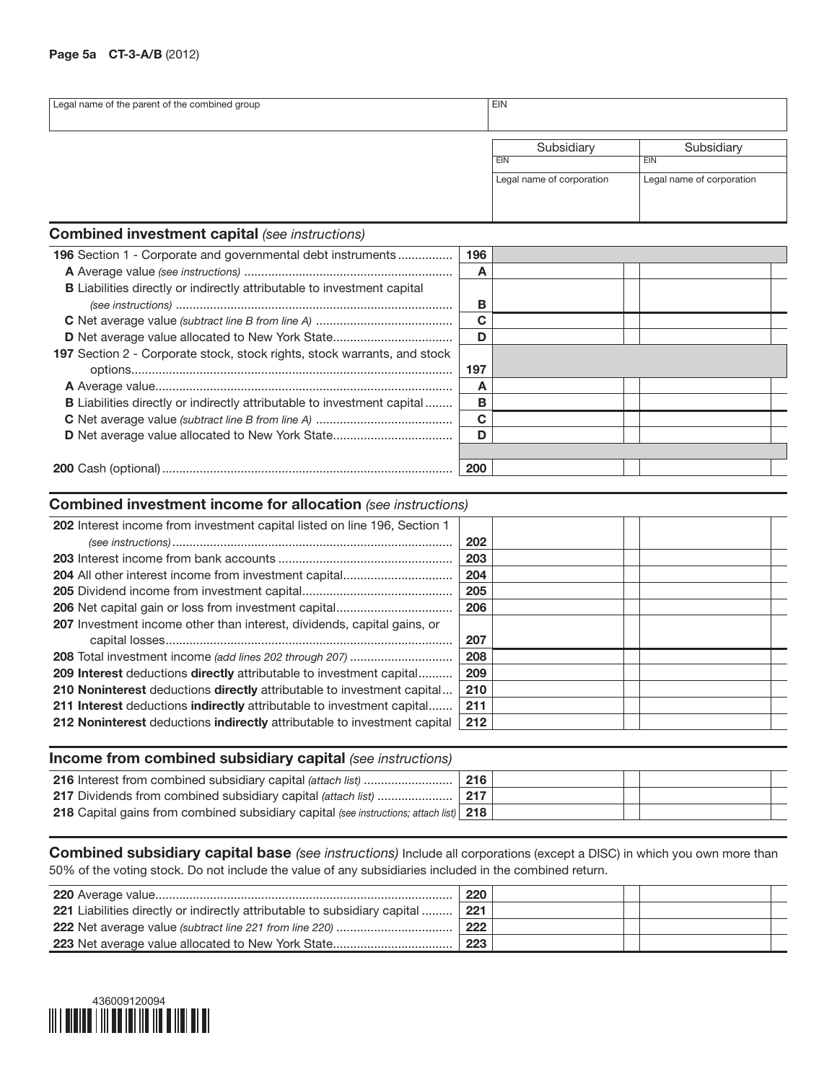#### Page 5a CT-3-A/B (2012)

| Legal name of the parent of the combined group | <b>EIN</b>                                            |                                                       |  |  |  |
|------------------------------------------------|-------------------------------------------------------|-------------------------------------------------------|--|--|--|
|                                                | Subsidiary<br><b>EIN</b><br>Legal name of corporation | Subsidiary<br><b>EIN</b><br>Legal name of corporation |  |  |  |

#### Combined investment capital *(see instructions)*

| <b>196</b> Section 1 - Corporate and governmental debt instruments             |     |  |  |
|--------------------------------------------------------------------------------|-----|--|--|
|                                                                                | A   |  |  |
| <b>B</b> Liabilities directly or indirectly attributable to investment capital |     |  |  |
|                                                                                | в   |  |  |
|                                                                                | C   |  |  |
|                                                                                | D   |  |  |
| 197 Section 2 - Corporate stock, stock rights, stock warrants, and stock       |     |  |  |
|                                                                                | 197 |  |  |
|                                                                                | А   |  |  |
| <b>B</b> Liabilities directly or indirectly attributable to investment capital | в   |  |  |
|                                                                                | C   |  |  |
|                                                                                | D   |  |  |
|                                                                                |     |  |  |
|                                                                                | 200 |  |  |

#### Combined investment income for allocation *(see instructions)*

| 202 Interest income from investment capital listed on line 196, Section 1      |     |  |  |
|--------------------------------------------------------------------------------|-----|--|--|
|                                                                                | 202 |  |  |
|                                                                                | 203 |  |  |
|                                                                                | 204 |  |  |
|                                                                                | 205 |  |  |
|                                                                                | 206 |  |  |
| <b>207</b> Investment income other than interest, dividends, capital gains, or |     |  |  |
|                                                                                | 207 |  |  |
| <b>208</b> Total investment income (add lines 202 through 207)                 | 208 |  |  |
| <b>209 Interest deductions directly attributable to investment capital</b>     | 209 |  |  |
| 210 Noninterest deductions directly attributable to investment capital         | 210 |  |  |
| 211 Interest deductions indirectly attributable to investment capital          | 211 |  |  |
| 212 Noninterest deductions indirectly attributable to investment capital       | 212 |  |  |

| Income from combined subsidiary capital (see instructions)                                    |     |  |  |  |  |  |  |  |
|-----------------------------------------------------------------------------------------------|-----|--|--|--|--|--|--|--|
|                                                                                               | 216 |  |  |  |  |  |  |  |
| 217 Dividends from combined subsidiary capital (attach list)                                  | 217 |  |  |  |  |  |  |  |
| <b>218</b> Capital gains from combined subsidiary capital (see instructions; attach list) 218 |     |  |  |  |  |  |  |  |
|                                                                                               |     |  |  |  |  |  |  |  |

Combined subsidiary capital base *(see instructions)* Include all corporations (except a DISC) in which you own more than 50% of the voting stock. Do not include the value of any subsidiaries included in the combined return.

|                                                                                  | 220  |  |  |
|----------------------------------------------------------------------------------|------|--|--|
| <b>221</b> Liabilities directly or indirectly attributable to subsidiary capital | .221 |  |  |
|                                                                                  | 222  |  |  |
|                                                                                  | 223  |  |  |